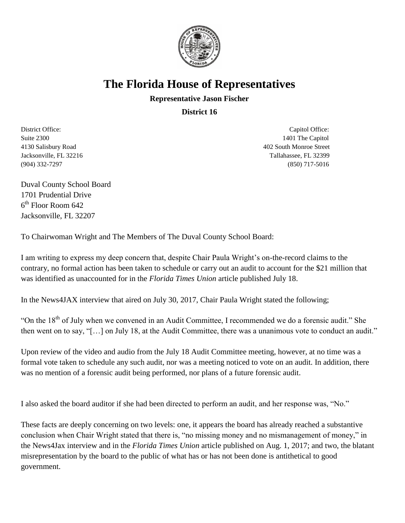

## **The Florida House of Representatives**

## **Representative Jason Fischer**

**District 16**

District Office: Capitol Office: Capitol Office: Capitol Office: Capitol Office: Capitol Office: Suite 2300 1401 The Capitol 4130 Salisbury Road 402 South Monroe Street Jacksonville, FL 32216 Tallahassee, FL 32399 (904) 332-7297 (850) 717-5016

Duval County School Board 1701 Prudential Drive 6 th Floor Room 642 Jacksonville, FL 32207

To Chairwoman Wright and The Members of The Duval County School Board:

I am writing to express my deep concern that, despite Chair Paula Wright's on-the-record claims to the contrary, no formal action has been taken to schedule or carry out an audit to account for the \$21 million that was identified as unaccounted for in the *Florida Times Union* article published July 18.

In the News4JAX interview that aired on July 30, 2017, Chair Paula Wright stated the following;

"On the  $18<sup>th</sup>$  of July when we convened in an Audit Committee, I recommended we do a forensic audit." She then went on to say, "[…] on July 18, at the Audit Committee, there was a unanimous vote to conduct an audit."

Upon review of the video and audio from the July 18 Audit Committee meeting, however, at no time was a formal vote taken to schedule any such audit, nor was a meeting noticed to vote on an audit. In addition, there was no mention of a forensic audit being performed, nor plans of a future forensic audit.

I also asked the board auditor if she had been directed to perform an audit, and her response was, "No."

These facts are deeply concerning on two levels: one, it appears the board has already reached a substantive conclusion when Chair Wright stated that there is, "no missing money and no mismanagement of money," in the News4Jax interview and in the *Florida Times Union* article published on Aug. 1, 2017; and two, the blatant misrepresentation by the board to the public of what has or has not been done is antithetical to good government.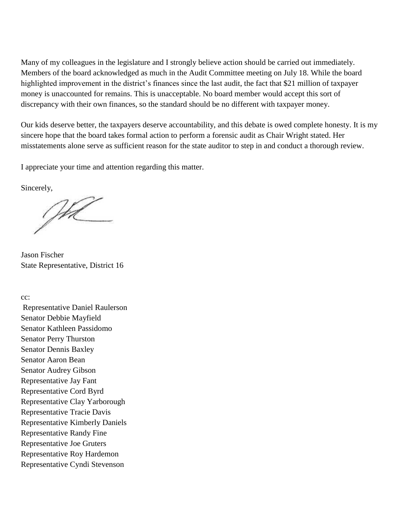Many of my colleagues in the legislature and I strongly believe action should be carried out immediately. Members of the board acknowledged as much in the Audit Committee meeting on July 18. While the board highlighted improvement in the district's finances since the last audit, the fact that \$21 million of taxpayer money is unaccounted for remains. This is unacceptable. No board member would accept this sort of discrepancy with their own finances, so the standard should be no different with taxpayer money.

Our kids deserve better, the taxpayers deserve accountability, and this debate is owed complete honesty. It is my sincere hope that the board takes formal action to perform a forensic audit as Chair Wright stated. Her misstatements alone serve as sufficient reason for the state auditor to step in and conduct a thorough review.

I appreciate your time and attention regarding this matter.

Sincerely,

Jhl

Jason Fischer State Representative, District 16

cc:

Representative Daniel Raulerson Senator Debbie Mayfield Senator Kathleen Passidomo Senator Perry Thurston Senator Dennis Baxley Senator Aaron Bean Senator Audrey Gibson Representative Jay Fant Representative Cord Byrd Representative Clay Yarborough Representative Tracie Davis Representative Kimberly Daniels Representative Randy Fine Representative Joe Gruters Representative Roy Hardemon Representative Cyndi Stevenson